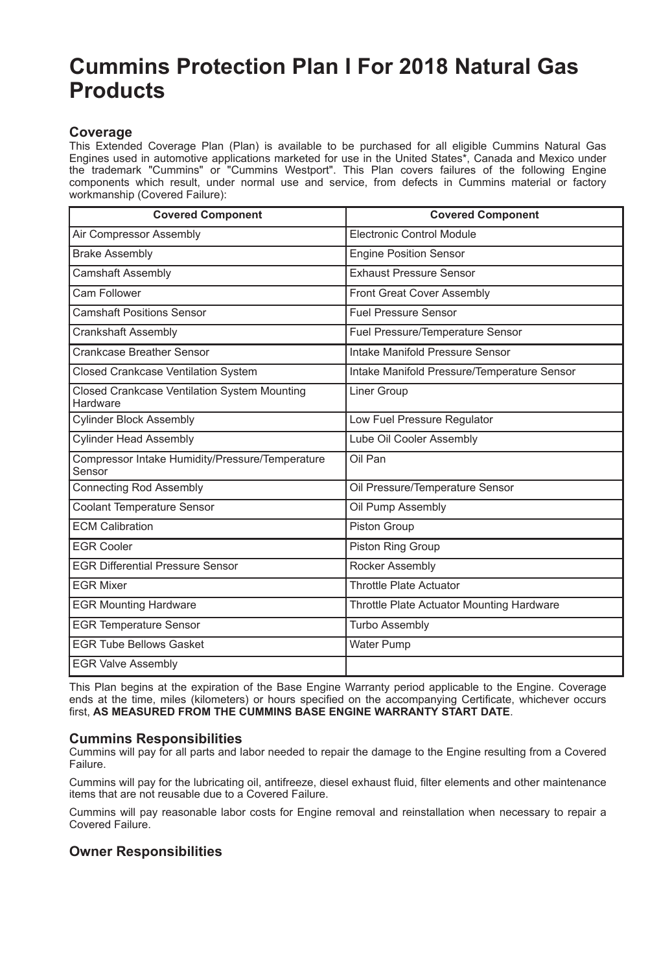# **Cummins Protection Plan I For 2018 Natural Gas Products**

## **Coverage**

This Extended Coverage Plan (Plan) is available to be purchased for all eligible Cummins Natural Gas Engines used in automotive applications marketed for use in the United States\*, Canada and Mexico under the trademark "Cummins" or "Cummins Westport". This Plan covers failures of the following Engine components which result, under normal use and service, from defects in Cummins material or factory workmanship (Covered Failure):

| <b>Covered Component</b>                                  | <b>Covered Component</b>                    |
|-----------------------------------------------------------|---------------------------------------------|
| Air Compressor Assembly                                   | Electronic Control Module                   |
| <b>Brake Assembly</b>                                     | <b>Engine Position Sensor</b>               |
| <b>Camshaft Assembly</b>                                  | <b>Exhaust Pressure Sensor</b>              |
| Cam Follower                                              | Front Great Cover Assembly                  |
| <b>Camshaft Positions Sensor</b>                          | <b>Fuel Pressure Sensor</b>                 |
| <b>Crankshaft Assembly</b>                                | Fuel Pressure/Temperature Sensor            |
| Crankcase Breather Sensor                                 | Intake Manifold Pressure Sensor             |
| <b>Closed Crankcase Ventilation System</b>                | Intake Manifold Pressure/Temperature Sensor |
| Closed Crankcase Ventilation System Mounting<br>Hardware  | Liner Group                                 |
| <b>Cylinder Block Assembly</b>                            | Low Fuel Pressure Regulator                 |
| <b>Cylinder Head Assembly</b>                             | Lube Oil Cooler Assembly                    |
| Compressor Intake Humidity/Pressure/Temperature<br>Sensor | Oil Pan                                     |
| Connecting Rod Assembly                                   | Oil Pressure/Temperature Sensor             |
| Coolant Temperature Sensor                                | Oil Pump Assembly                           |
| <b>FCM Calibration</b>                                    | Piston Group                                |
| <b>EGR Cooler</b>                                         | Piston Ring Group                           |
| <b>EGR Differential Pressure Sensor</b>                   | Rocker Assembly                             |
| <b>FGR Mixer</b>                                          | <b>Throttle Plate Actuator</b>              |
| <b>EGR Mounting Hardware</b>                              | Throttle Plate Actuator Mounting Hardware   |
| <b>EGR Temperature Sensor</b>                             | <b>Turbo Assembly</b>                       |
| <b>FGR Tube Bellows Gasket</b>                            | <b>Water Pump</b>                           |
| <b>EGR Valve Assembly</b>                                 |                                             |

This Plan begins at the expiration of the Base Engine Warranty period applicable to the Engine. Coverage ends at the time, miles (kilometers) or hours specified on the accompanying Certificate, whichever occurs first, **AS MEASURED FROM THE CUMMINS BASE ENGINE WARRANTY START DATE**.

### **Cummins Responsibilities**

Cummins will pay for all parts and labor needed to repair the damage to the Engine resulting from a Covered Failure.

Cummins will pay for the lubricating oil, antifreeze, diesel exhaust fluid, filter elements and other maintenance items that are not reusable due to a Covered Failure.

Cummins will pay reasonable labor costs for Engine removal and reinstallation when necessary to repair a Covered Failure.

### **Owner Responsibilities**